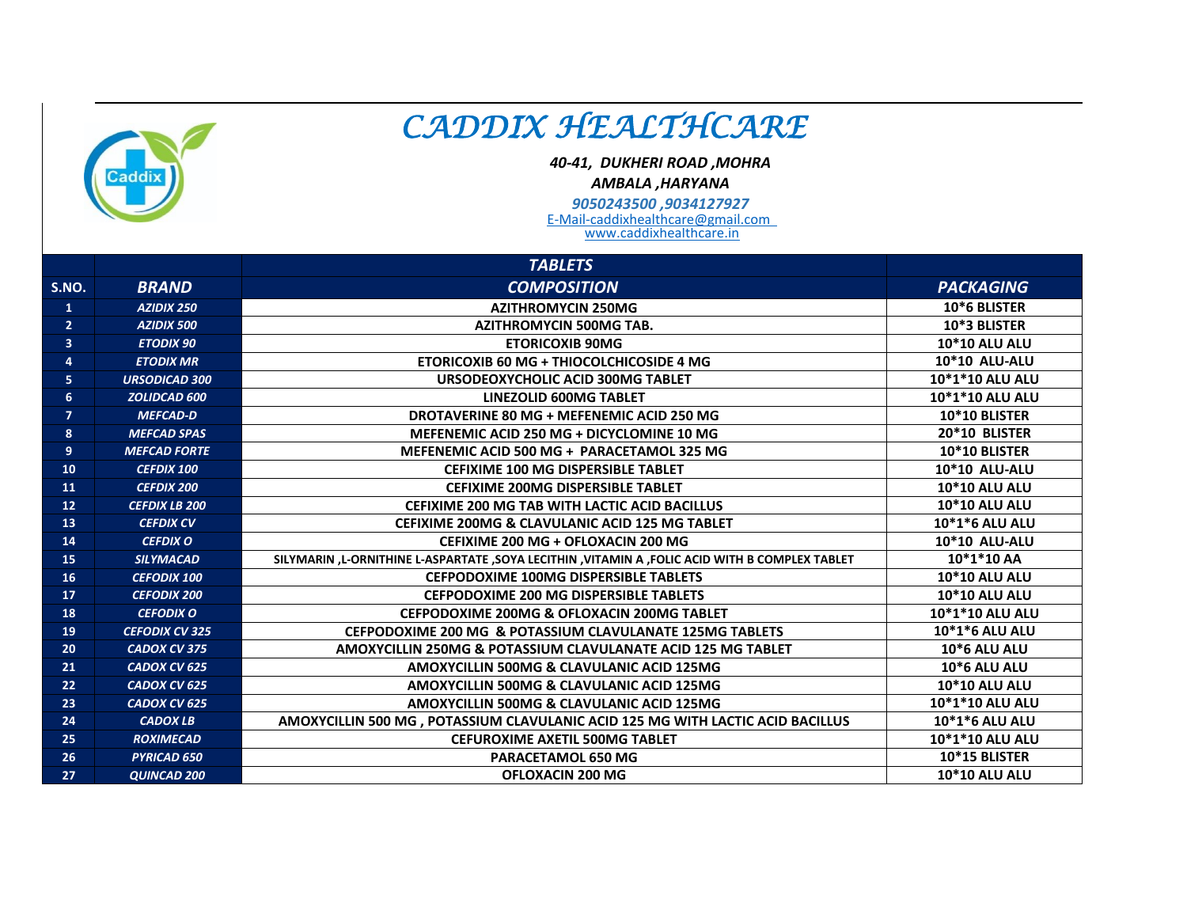

## *CADDIX HEALTHCARE*

*40-41, DUKHERI ROAD ,MOHRA*

*AMBALA ,HARYANA*

E-Mail-caddixhealthcare@gmail.com *9050243500 ,9034127927*

www.caddixhealthcare.in

|                |                       | <b>TABLETS</b>                                                                                 |                        |
|----------------|-----------------------|------------------------------------------------------------------------------------------------|------------------------|
| S.NO.          | <b>BRAND</b>          | <b>COMPOSITION</b>                                                                             | <b>PACKAGING</b>       |
| $\mathbf{1}$   | <b>AZIDIX 250</b>     | <b>AZITHROMYCIN 250MG</b>                                                                      | 10*6 BLISTER           |
| $\overline{2}$ | <b>AZIDIX 500</b>     | <b>AZITHROMYCIN 500MG TAB.</b>                                                                 | 10*3 BLISTER           |
| 3              | <b>ETODIX 90</b>      | <b>ETORICOXIB 90MG</b>                                                                         | <b>10*10 ALU ALU</b>   |
| 4              | <b>ETODIX MR</b>      | <b>ETORICOXIB 60 MG + THIOCOLCHICOSIDE 4 MG</b>                                                | <b>10*10 ALU-ALU</b>   |
| 5              | <b>URSODICAD 300</b>  | URSODEOXYCHOLIC ACID 300MG TABLET                                                              | 10*1*10 ALU ALU        |
| 6              | ZOLIDCAD 600          | <b>LINEZOLID 600MG TABLET</b>                                                                  | 10*1*10 ALU ALU        |
| $\overline{7}$ | <b>MEFCAD-D</b>       | DROTAVERINE 80 MG + MEFENEMIC ACID 250 MG                                                      | 10*10 BLISTER          |
| 8              | <b>MEFCAD SPAS</b>    | MEFENEMIC ACID 250 MG + DICYCLOMINE 10 MG                                                      | 20*10 BLISTER          |
| 9              | <b>MEFCAD FORTE</b>   | MEFENEMIC ACID 500 MG + PARACETAMOL 325 MG                                                     | 10*10 BLISTER          |
| 10             | <b>CEFDIX 100</b>     | <b>CEFIXIME 100 MG DISPERSIBLE TABLET</b>                                                      | <b>10*10 ALU-ALU</b>   |
| 11             | <b>CEFDIX 200</b>     | <b>CEFIXIME 200MG DISPERSIBLE TABLET</b>                                                       | <b>10*10 ALU ALU</b>   |
| 12             | <b>CEFDIX LB 200</b>  | <b>CEFIXIME 200 MG TAB WITH LACTIC ACID BACILLUS</b>                                           | 10*10 ALU ALU          |
| 13             | <b>CEFDIX CV</b>      | <b>CEFIXIME 200MG &amp; CLAVULANIC ACID 125 MG TABLET</b>                                      | 10*1*6 ALU ALU         |
| 14             | <b>CEFDIX O</b>       | CEFIXIME 200 MG + OFLOXACIN 200 MG                                                             | <b>10*10 ALU-ALU</b>   |
| 15             | <b>SILYMACAD</b>      | SILYMARIN ,L-ORNITHINE L-ASPARTATE ,SOYA LECITHIN ,VITAMIN A ,FOLIC ACID WITH B COMPLEX TABLET | 10*1*10 AA             |
| 16             | <b>CEFODIX 100</b>    | <b>CEFPODOXIME 100MG DISPERSIBLE TABLETS</b>                                                   | <b>10*10 ALU ALU</b>   |
| 17             | <b>CEFODIX 200</b>    | <b>CEFPODOXIME 200 MG DISPERSIBLE TABLETS</b>                                                  | 10*10 ALU ALU          |
| 18             | <b>CEFODIX O</b>      | CEFPODOXIME 200MG & OFLOXACIN 200MG TABLET                                                     | 10*1*10 ALU ALU        |
| 19             | <b>CEFODIX CV 325</b> | CEFPODOXIME 200 MG & POTASSIUM CLAVULANATE 125MG TABLETS                                       | 10*1*6 ALU ALU         |
| 20             | <b>CADOX CV 375</b>   | AMOXYCILLIN 250MG & POTASSIUM CLAVULANATE ACID 125 MG TABLET                                   | <b>10*6 ALU ALU</b>    |
| 21             | CADOX CV 625          | AMOXYCILLIN 500MG & CLAVULANIC ACID 125MG                                                      | <b>10*6 ALU ALU</b>    |
| 22             | CADOX CV 625          | AMOXYCILLIN 500MG & CLAVULANIC ACID 125MG                                                      | <b>10*10 ALU ALU</b>   |
| 23             | CADOX CV 625          | AMOXYCILLIN 500MG & CLAVULANIC ACID 125MG                                                      | <b>10*1*10 ALU ALU</b> |
| 24             | <b>CADOX LB</b>       | AMOXYCILLIN 500 MG, POTASSIUM CLAVULANIC ACID 125 MG WITH LACTIC ACID BACILLUS                 | 10*1*6 ALU ALU         |
| 25             | <b>ROXIMECAD</b>      | <b>CEFUROXIME AXETIL 500MG TABLET</b>                                                          | 10*1*10 ALU ALU        |
| 26             | <b>PYRICAD 650</b>    | <b>PARACETAMOL 650 MG</b>                                                                      | 10*15 BLISTER          |
| 27             | <b>QUINCAD 200</b>    | <b>OFLOXACIN 200 MG</b>                                                                        | <b>10*10 ALU ALU</b>   |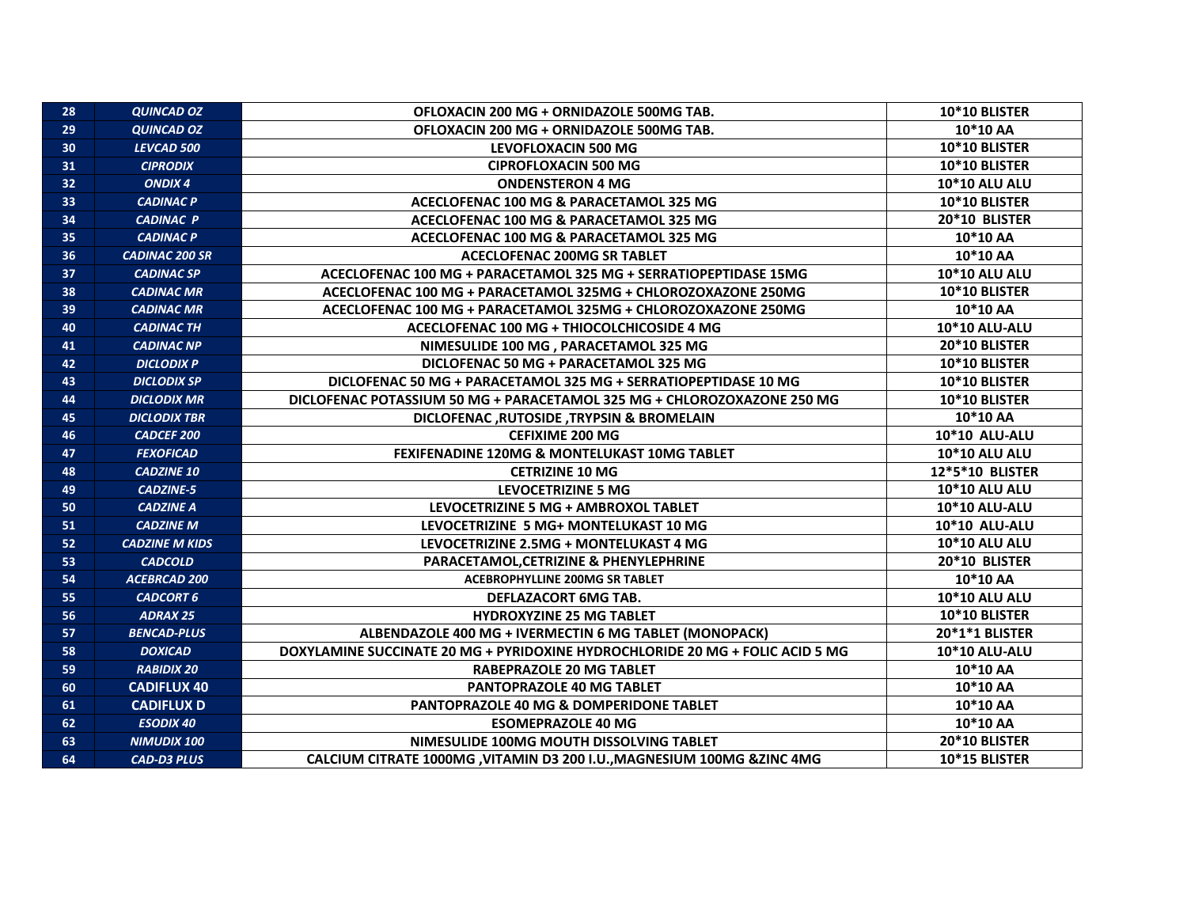| 28 | <b>QUINCAD OZ</b>     | OFLOXACIN 200 MG + ORNIDAZOLE 500MG TAB.                                      | 10*10 BLISTER        |
|----|-----------------------|-------------------------------------------------------------------------------|----------------------|
| 29 | <b>QUINCAD OZ</b>     | OFLOXACIN 200 MG + ORNIDAZOLE 500MG TAB.                                      | 10*10 AA             |
| 30 | LEVCAD 500            | <b>LEVOFLOXACIN 500 MG</b>                                                    | 10*10 BLISTER        |
| 31 | <b>CIPRODIX</b>       | <b>CIPROFLOXACIN 500 MG</b>                                                   | 10*10 BLISTER        |
| 32 | <b>ONDIX 4</b>        | <b>ONDENSTERON 4 MG</b>                                                       | 10*10 ALU ALU        |
| 33 | <b>CADINAC P</b>      | ACECLOFENAC 100 MG & PARACETAMOL 325 MG                                       | 10*10 BLISTER        |
| 34 | <b>CADINAC P</b>      | ACECLOFENAC 100 MG & PARACETAMOL 325 MG                                       | 20*10 BLISTER        |
| 35 | <b>CADINAC P</b>      | ACECLOFENAC 100 MG & PARACETAMOL 325 MG                                       | 10*10 AA             |
| 36 | <b>CADINAC 200 SR</b> | <b>ACECLOFENAC 200MG SR TABLET</b>                                            | 10*10 AA             |
| 37 | <b>CADINAC SP</b>     | ACECLOFENAC 100 MG + PARACETAMOL 325 MG + SERRATIOPEPTIDASE 15MG              | 10*10 ALU ALU        |
| 38 | <b>CADINAC MR</b>     | ACECLOFENAC 100 MG + PARACETAMOL 325MG + CHLOROZOXAZONE 250MG                 | 10*10 BLISTER        |
| 39 | <b>CADINAC MR</b>     | ACECLOFENAC 100 MG + PARACETAMOL 325MG + CHLOROZOXAZONE 250MG                 | 10*10 AA             |
| 40 | <b>CADINAC TH</b>     | ACECLOFENAC 100 MG + THIOCOLCHICOSIDE 4 MG                                    | 10*10 ALU-ALU        |
| 41 | <b>CADINAC NP</b>     | NIMESULIDE 100 MG, PARACETAMOL 325 MG                                         | 20*10 BLISTER        |
| 42 | <b>DICLODIX P</b>     | DICLOFENAC 50 MG + PARACETAMOL 325 MG                                         | 10*10 BLISTER        |
| 43 | <b>DICLODIX SP</b>    | DICLOFENAC 50 MG + PARACETAMOL 325 MG + SERRATIOPEPTIDASE 10 MG               | 10*10 BLISTER        |
| 44 | <b>DICLODIX MR</b>    | DICLOFENAC POTASSIUM 50 MG + PARACETAMOL 325 MG + CHLOROZOXAZONE 250 MG       | 10*10 BLISTER        |
| 45 | <b>DICLODIX TBR</b>   | DICLOFENAC, RUTOSIDE, TRYPSIN & BROMELAIN                                     | 10*10 AA             |
| 46 | <b>CADCEF 200</b>     | <b>CEFIXIME 200 MG</b>                                                        | 10*10 ALU-ALU        |
| 47 | <b>FEXOFICAD</b>      | FEXIFENADINE 120MG & MONTELUKAST 10MG TABLET                                  | <b>10*10 ALU ALU</b> |
| 48 | <b>CADZINE 10</b>     | <b>CETRIZINE 10 MG</b>                                                        | 12*5*10 BLISTER      |
| 49 | <b>CADZINE-5</b>      | <b>LEVOCETRIZINE 5 MG</b>                                                     | 10*10 ALU ALU        |
| 50 | <b>CADZINE A</b>      | LEVOCETRIZINE 5 MG + AMBROXOL TABLET                                          | 10*10 ALU-ALU        |
| 51 | <b>CADZINE M</b>      | LEVOCETRIZINE 5 MG+ MONTELUKAST 10 MG                                         | <b>10*10 ALU-ALU</b> |
| 52 | <b>CADZINE M KIDS</b> | LEVOCETRIZINE 2.5MG + MONTELUKAST 4 MG                                        | <b>10*10 ALU ALU</b> |
| 53 | <b>CADCOLD</b>        | PARACETAMOL, CETRIZINE & PHENYLEPHRINE                                        | 20*10 BLISTER        |
| 54 | <b>ACEBRCAD 200</b>   | ACEBROPHYLLINE 200MG SR TABLET                                                | 10*10 AA             |
| 55 | <b>CADCORT 6</b>      | <b>DEFLAZACORT 6MG TAB.</b>                                                   | 10*10 ALU ALU        |
| 56 | <b>ADRAX 25</b>       | <b>HYDROXYZINE 25 MG TABLET</b>                                               | 10*10 BLISTER        |
| 57 | <b>BENCAD-PLUS</b>    | ALBENDAZOLE 400 MG + IVERMECTIN 6 MG TABLET (MONOPACK)                        | 20*1*1 BLISTER       |
| 58 | <b>DOXICAD</b>        | DOXYLAMINE SUCCINATE 20 MG + PYRIDOXINE HYDROCHLORIDE 20 MG + FOLIC ACID 5 MG | 10*10 ALU-ALU        |
| 59 | <b>RABIDIX 20</b>     | <b>RABEPRAZOLE 20 MG TABLET</b>                                               | 10*10 AA             |
| 60 | <b>CADIFLUX 40</b>    | <b>PANTOPRAZOLE 40 MG TABLET</b>                                              | 10*10 AA             |
| 61 | <b>CADIFLUX D</b>     | PANTOPRAZOLE 40 MG & DOMPERIDONE TABLET                                       | 10*10 AA             |
| 62 | <b>ESODIX 40</b>      | <b>ESOMEPRAZOLE 40 MG</b>                                                     | 10*10 AA             |
| 63 | <b>NIMUDIX 100</b>    | NIMESULIDE 100MG MOUTH DISSOLVING TABLET                                      | 20*10 BLISTER        |
| 64 | <b>CAD-D3 PLUS</b>    | CALCIUM CITRATE 1000MG , VITAMIN D3 200 I.U., MAGNESIUM 100MG & ZINC 4MG      | 10*15 BLISTER        |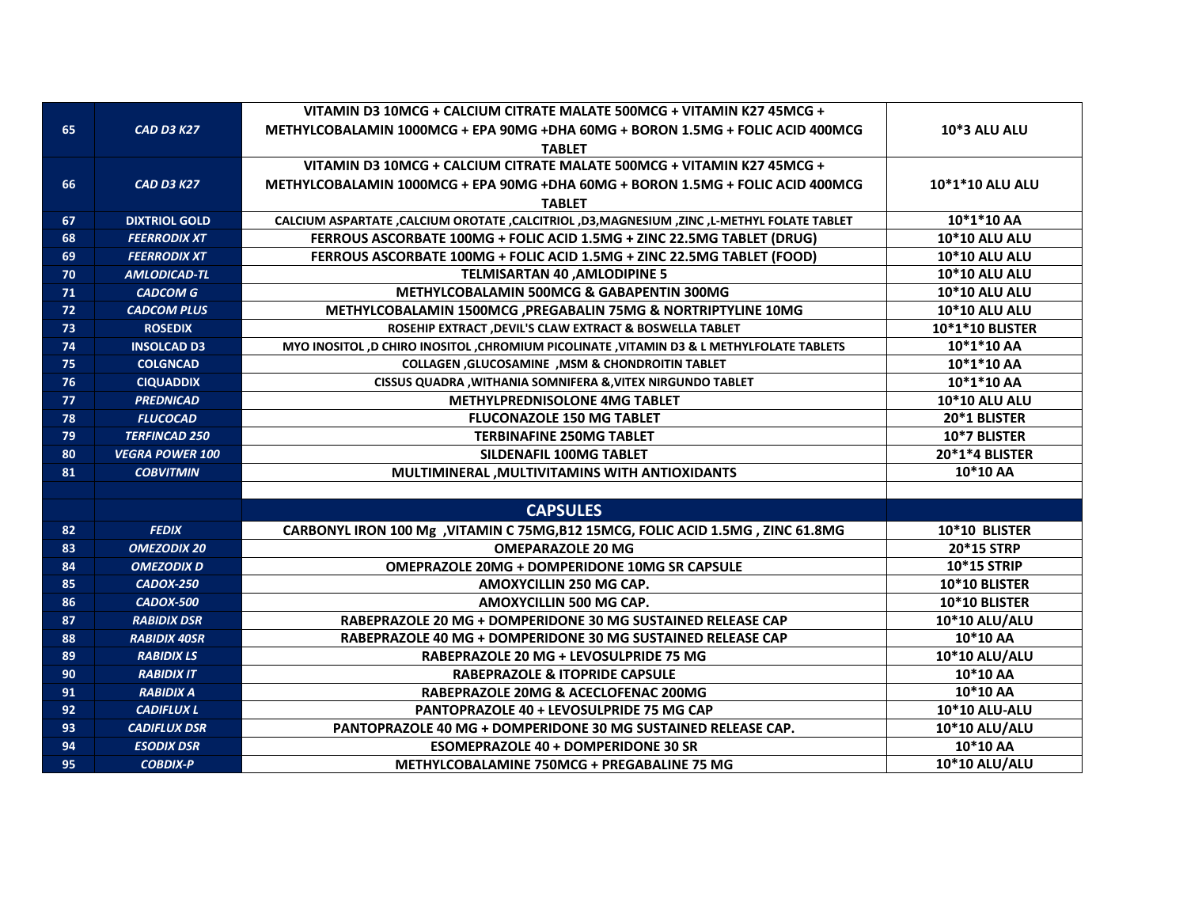|    |                        | VITAMIN D3 10MCG + CALCIUM CITRATE MALATE 500MCG + VITAMIN K27 45MCG +                           |                      |
|----|------------------------|--------------------------------------------------------------------------------------------------|----------------------|
| 65 | <b>CAD D3 K27</b>      | METHYLCOBALAMIN 1000MCG + EPA 90MG +DHA 60MG + BORON 1.5MG + FOLIC ACID 400MCG                   | <b>10*3 ALU ALU</b>  |
|    |                        | <b>TABLET</b>                                                                                    |                      |
|    |                        | VITAMIN D3 10MCG + CALCIUM CITRATE MALATE 500MCG + VITAMIN K27 45MCG +                           |                      |
| 66 | <b>CAD D3 K27</b>      | METHYLCOBALAMIN 1000MCG + EPA 90MG +DHA 60MG + BORON 1.5MG + FOLIC ACID 400MCG                   | 10*1*10 ALU ALU      |
|    |                        | <b>TABLET</b>                                                                                    |                      |
| 67 | <b>DIXTRIOL GOLD</b>   | CALCIUM ASPARTATE , CALCIUM OROTATE , CALCITRIOL , D3, MAGNESIUM , ZINC , L-METHYL FOLATE TABLET | 10*1*10 AA           |
| 68 | <b>FEERRODIX XT</b>    | FERROUS ASCORBATE 100MG + FOLIC ACID 1.5MG + ZINC 22.5MG TABLET (DRUG)                           | 10*10 ALU ALU        |
| 69 | <b>FEERRODIX XT</b>    | FERROUS ASCORBATE 100MG + FOLIC ACID 1.5MG + ZINC 22.5MG TABLET (FOOD)                           | <b>10*10 ALU ALU</b> |
| 70 | <b>AMLODICAD-TL</b>    | <b>TELMISARTAN 40, AMLODIPINE 5</b>                                                              | <b>10*10 ALU ALU</b> |
| 71 | <b>CADCOM G</b>        | METHYLCOBALAMIN 500MCG & GABAPENTIN 300MG                                                        | 10*10 ALU ALU        |
| 72 | <b>CADCOM PLUS</b>     | METHYLCOBALAMIN 1500MCG, PREGABALIN 75MG & NORTRIPTYLINE 10MG                                    | 10*10 ALU ALU        |
| 73 | <b>ROSEDIX</b>         | ROSEHIP EXTRACT , DEVIL'S CLAW EXTRACT & BOSWELLA TABLET                                         | 10*1*10 BLISTER      |
| 74 | <b>INSOLCAD D3</b>     | MYO INOSITOL ,D CHIRO INOSITOL ,CHROMIUM PICOLINATE ,VITAMIN D3 & L METHYLFOLATE TABLETS         | 10*1*10 AA           |
| 75 | <b>COLGNCAD</b>        | COLLAGEN, GLUCOSAMINE, MSM & CHONDROITIN TABLET                                                  | 10*1*10 AA           |
| 76 | <b>CIQUADDIX</b>       | CISSUS QUADRA, WITHANIA SOMNIFERA &, VITEX NIRGUNDO TABLET                                       | 10*1*10 AA           |
| 77 | <b>PREDNICAD</b>       | <b>METHYLPREDNISOLONE 4MG TABLET</b>                                                             | <b>10*10 ALU ALU</b> |
| 78 | <b>FLUCOCAD</b>        | <b>FLUCONAZOLE 150 MG TABLET</b>                                                                 | 20*1 BLISTER         |
| 79 | <b>TERFINCAD 250</b>   | <b>TERBINAFINE 250MG TABLET</b>                                                                  | 10*7 BLISTER         |
| 80 | <b>VEGRA POWER 100</b> | SILDENAFIL 100MG TABLET                                                                          | 20*1*4 BLISTER       |
| 81 | <b>COBVITMIN</b>       | MULTIMINERAL, MULTIVITAMINS WITH ANTIOXIDANTS                                                    | 10*10 AA             |
|    |                        |                                                                                                  |                      |
|    |                        | <b>CAPSULES</b>                                                                                  |                      |
| 82 | <b>FEDIX</b>           | CARBONYL IRON 100 Mg , VITAMIN C 75MG, B12 15MCG, FOLIC ACID 1.5MG , ZINC 61.8MG                 | 10*10 BLISTER        |
| 83 | <b>OMEZODIX 20</b>     | <b>OMEPARAZOLE 20 MG</b>                                                                         | 20*15 STRP           |
| 84 | <b>OMEZODIX D</b>      | <b>OMEPRAZOLE 20MG + DOMPERIDONE 10MG SR CAPSULE</b>                                             | 10*15 STRIP          |
| 85 | CADOX-250              | AMOXYCILLIN 250 MG CAP.                                                                          | 10*10 BLISTER        |
| 86 | CADOX-500              | AMOXYCILLIN 500 MG CAP.                                                                          | 10*10 BLISTER        |
| 87 | <b>RABIDIX DSR</b>     | RABEPRAZOLE 20 MG + DOMPERIDONE 30 MG SUSTAINED RELEASE CAP                                      | <b>10*10 ALU/ALU</b> |
| 88 | <b>RABIDIX 40SR</b>    | RABEPRAZOLE 40 MG + DOMPERIDONE 30 MG SUSTAINED RELEASE CAP                                      | 10*10 AA             |
| 89 | <b>RABIDIX LS</b>      | RABEPRAZOLE 20 MG + LEVOSULPRIDE 75 MG                                                           | 10*10 ALU/ALU        |
| 90 | <b>RABIDIX IT</b>      | <b>RABEPRAZOLE &amp; ITOPRIDE CAPSULE</b>                                                        | 10*10 AA             |
| 91 | <b>RABIDIX A</b>       | RABEPRAZOLE 20MG & ACECLOFENAC 200MG                                                             | 10*10 AA             |
| 92 | <b>CADIFLUX L</b>      | PANTOPRAZOLE 40 + LEVOSULPRIDE 75 MG CAP                                                         | 10*10 ALU-ALU        |
| 93 | <b>CADIFLUX DSR</b>    | <b>PANTOPRAZOLE 40 MG + DOMPERIDONE 30 MG SUSTAINED RELEASE CAP.</b>                             | 10*10 ALU/ALU        |
| 94 | <b>ESODIX DSR</b>      | <b>ESOMEPRAZOLE 40 + DOMPERIDONE 30 SR</b>                                                       | 10*10 AA             |
| 95 | <b>COBDIX-P</b>        | METHYLCOBALAMINE 750MCG + PREGABALINE 75 MG                                                      | 10*10 ALU/ALU        |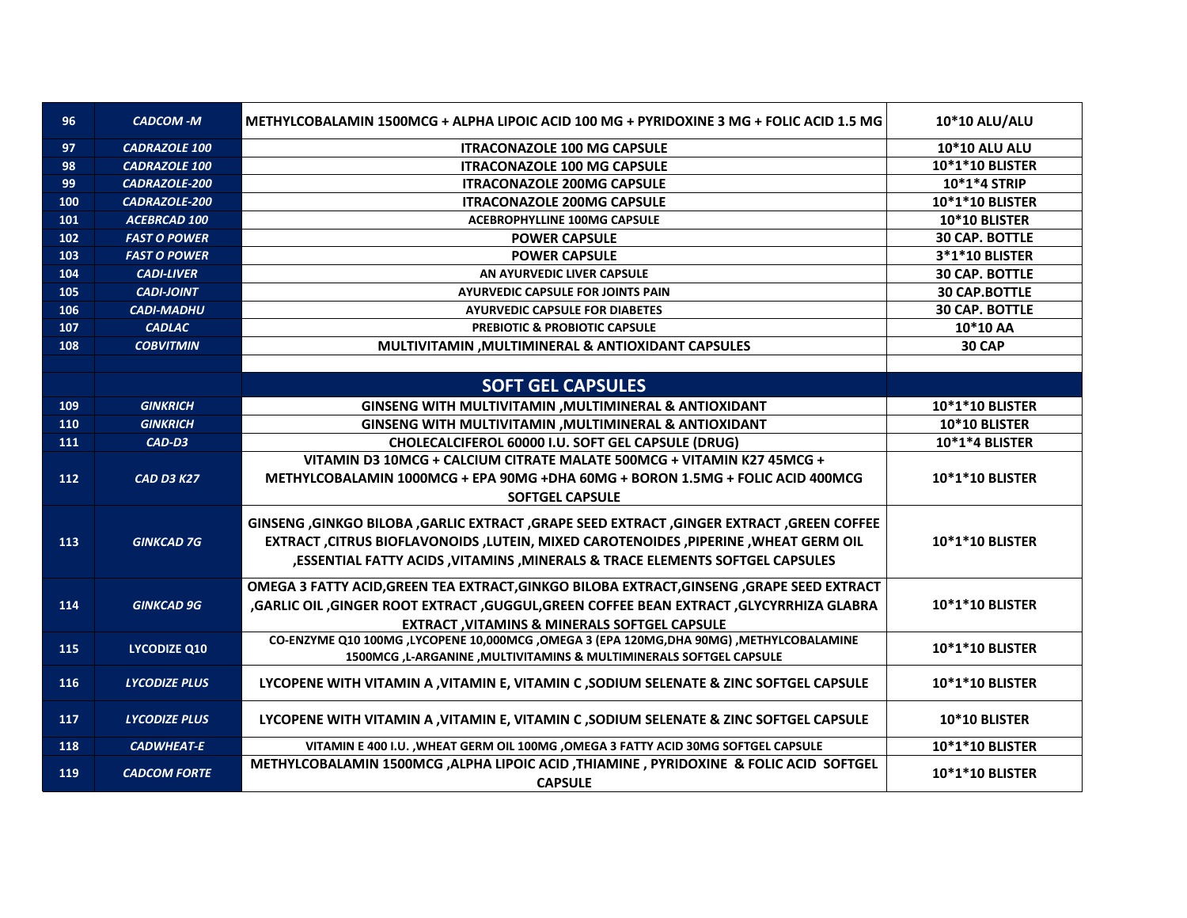| 96  | <b>CADCOM-M</b>      | METHYLCOBALAMIN 1500MCG + ALPHA LIPOIC ACID 100 MG + PYRIDOXINE 3 MG + FOLIC ACID 1.5 MG                                                                                                                                                                               | <b>10*10 ALU/ALU</b>   |
|-----|----------------------|------------------------------------------------------------------------------------------------------------------------------------------------------------------------------------------------------------------------------------------------------------------------|------------------------|
| 97  | <b>CADRAZOLE 100</b> | <b>ITRACONAZOLE 100 MG CAPSULE</b>                                                                                                                                                                                                                                     | <b>10*10 ALU ALU</b>   |
| 98  | <b>CADRAZOLE 100</b> | <b>ITRACONAZOLE 100 MG CAPSULE</b>                                                                                                                                                                                                                                     | 10*1*10 BLISTER        |
| 99  | CADRAZOLE-200        | <b>ITRACONAZOLE 200MG CAPSULE</b>                                                                                                                                                                                                                                      | 10*1*4 STRIP           |
| 100 | CADRAZOLE-200        | <b>ITRACONAZOLE 200MG CAPSULE</b>                                                                                                                                                                                                                                      | 10*1*10 BLISTER        |
| 101 | <b>ACEBRCAD 100</b>  | <b>ACEBROPHYLLINE 100MG CAPSULE</b>                                                                                                                                                                                                                                    | 10*10 BLISTER          |
| 102 | <b>FAST O POWER</b>  | <b>POWER CAPSULE</b>                                                                                                                                                                                                                                                   | <b>30 CAP. BOTTLE</b>  |
| 103 | <b>FAST O POWER</b>  | <b>POWER CAPSULE</b>                                                                                                                                                                                                                                                   | 3*1*10 BLISTER         |
| 104 | <b>CADI-LIVER</b>    | AN AYURVEDIC LIVER CAPSULE                                                                                                                                                                                                                                             | <b>30 CAP. BOTTLE</b>  |
| 105 | <b>CADI-JOINT</b>    | <b>AYURVEDIC CAPSULE FOR JOINTS PAIN</b>                                                                                                                                                                                                                               | <b>30 CAP.BOTTLE</b>   |
| 106 | <b>CADI-MADHU</b>    | <b>AYURVEDIC CAPSULE FOR DIABETES</b>                                                                                                                                                                                                                                  | <b>30 CAP. BOTTLE</b>  |
| 107 | <b>CADLAC</b>        | <b>PREBIOTIC &amp; PROBIOTIC CAPSULE</b>                                                                                                                                                                                                                               | 10*10 AA               |
| 108 | <b>COBVITMIN</b>     | MULTIVITAMIN, MULTIMINERAL & ANTIOXIDANT CAPSULES                                                                                                                                                                                                                      | <b>30 CAP</b>          |
|     |                      |                                                                                                                                                                                                                                                                        |                        |
|     |                      | <b>SOFT GEL CAPSULES</b>                                                                                                                                                                                                                                               |                        |
| 109 | <b>GINKRICH</b>      | GINSENG WITH MULTIVITAMIN , MULTIMINERAL & ANTIOXIDANT                                                                                                                                                                                                                 | 10*1*10 BLISTER        |
| 110 | <b>GINKRICH</b>      | GINSENG WITH MULTIVITAMIN, MULTIMINERAL & ANTIOXIDANT                                                                                                                                                                                                                  | 10*10 BLISTER          |
| 111 | CAD-D3               | CHOLECALCIFEROL 60000 I.U. SOFT GEL CAPSULE (DRUG)                                                                                                                                                                                                                     | 10*1*4 BLISTER         |
| 112 | <b>CAD D3 K27</b>    | VITAMIN D3 10MCG + CALCIUM CITRATE MALATE 500MCG + VITAMIN K27 45MCG +<br>METHYLCOBALAMIN 1000MCG + EPA 90MG +DHA 60MG + BORON 1.5MG + FOLIC ACID 400MCG<br><b>SOFTGEL CAPSULE</b>                                                                                     | <b>10*1*10 BLISTER</b> |
| 113 | <b>GINKCAD 7G</b>    | GINSENG ,GINKGO BILOBA ,GARLIC EXTRACT ,GRAPE SEED EXTRACT ,GINGER EXTRACT ,GREEN COFFEE<br>EXTRACT , CITRUS BIOFLAVONOIDS , LUTEIN, MIXED CAROTENOIDES , PIPERINE , WHEAT GERM OIL<br>, ESSENTIAL FATTY ACIDS , VITAMINS , MINERALS & TRACE ELEMENTS SOFTGEL CAPSULES | <b>10*1*10 BLISTER</b> |
| 114 | <b>GINKCAD 9G</b>    | OMEGA 3 FATTY ACID, GREEN TEA EXTRACT, GINKGO BILOBA EXTRACT, GINSENG, GRAPE SEED EXTRACT<br>GARLIC OIL ,GINGER ROOT EXTRACT ,GUGGUL,GREEN COFFEE BEAN EXTRACT ,GLYCYRRHIZA GLABRA,<br><b>EXTRACT, VITAMINS &amp; MINERALS SOFTGEL CAPSULE</b>                         | 10*1*10 BLISTER        |
| 115 | <b>LYCODIZE Q10</b>  | CO-ENZYME Q10 100MG ,LYCOPENE 10,000MCG ,OMEGA 3 (EPA 120MG,DHA 90MG) ,METHYLCOBALAMINE<br>1500MCG , L-ARGANINE , MULTIVITAMINS & MULTIMINERALS SOFTGEL CAPSULE                                                                                                        | 10*1*10 BLISTER        |
| 116 | <b>LYCODIZE PLUS</b> | LYCOPENE WITH VITAMIN A , VITAMIN E, VITAMIN C , SODIUM SELENATE & ZINC SOFTGEL CAPSULE                                                                                                                                                                                | <b>10*1*10 BLISTER</b> |
| 117 | <b>LYCODIZE PLUS</b> | LYCOPENE WITH VITAMIN A , VITAMIN E, VITAMIN C , SODIUM SELENATE & ZINC SOFTGEL CAPSULE                                                                                                                                                                                | <b>10*10 BLISTER</b>   |
| 118 | <b>CADWHEAT-E</b>    | VITAMIN E 400 I.U., WHEAT GERM OIL 100MG, OMEGA 3 FATTY ACID 30MG SOFTGEL CAPSULE                                                                                                                                                                                      | 10*1*10 BLISTER        |
| 119 | <b>CADCOM FORTE</b>  | METHYLCOBALAMIN 1500MCG , ALPHA LIPOIC ACID , THIAMINE , PYRIDOXINE & FOLIC ACID SOFTGEL<br><b>CAPSULE</b>                                                                                                                                                             | 10*1*10 BLISTER        |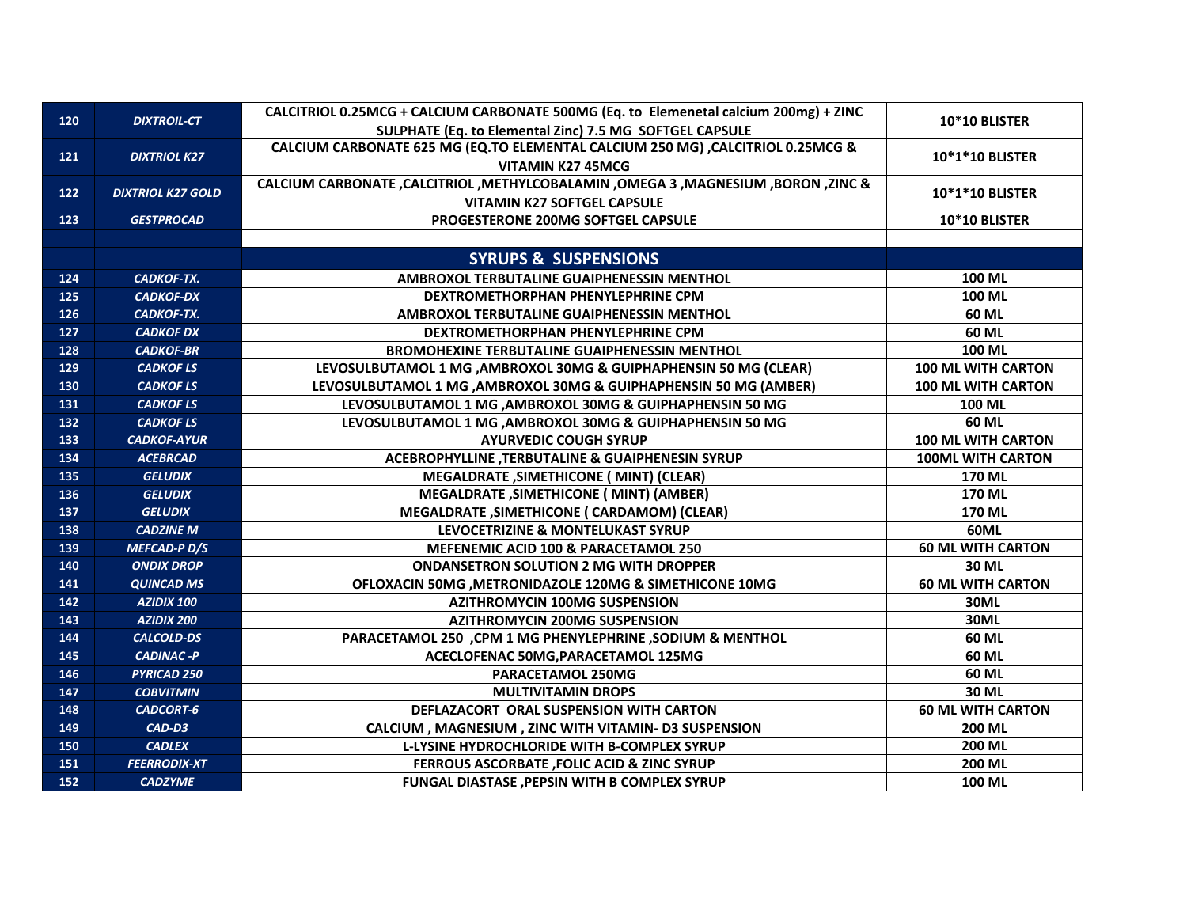| 120 | <b>DIXTROIL-CT</b>       | CALCITRIOL 0.25MCG + CALCIUM CARBONATE 500MG (Eq. to Elemenetal calcium 200mg) + ZINC |                           |
|-----|--------------------------|---------------------------------------------------------------------------------------|---------------------------|
|     |                          | SULPHATE (Eq. to Elemental Zinc) 7.5 MG SOFTGEL CAPSULE                               | 10*10 BLISTER             |
|     |                          | CALCIUM CARBONATE 625 MG (EQ.TO ELEMENTAL CALCIUM 250 MG) , CALCITRIOL 0.25MCG &      |                           |
| 121 | <b>DIXTRIOL K27</b>      | <b>VITAMIN K27 45MCG</b>                                                              | <b>10*1*10 BLISTER</b>    |
| 122 | <b>DIXTRIOL K27 GOLD</b> | CALCIUM CARBONATE, CALCITRIOL, METHYLCOBALAMIN, OMEGA 3, MAGNESIUM, BORON, ZINC &     |                           |
|     |                          | <b>VITAMIN K27 SOFTGEL CAPSULE</b>                                                    | <b>10*1*10 BLISTER</b>    |
| 123 | <b>GESTPROCAD</b>        | PROGESTERONE 200MG SOFTGEL CAPSULE                                                    | 10*10 BLISTER             |
|     |                          |                                                                                       |                           |
|     |                          | <b>SYRUPS &amp; SUSPENSIONS</b>                                                       |                           |
| 124 | <b>CADKOF-TX.</b>        | AMBROXOL TERBUTALINE GUAIPHENESSIN MENTHOL                                            | 100 ML                    |
| 125 | <b>CADKOF-DX</b>         | DEXTROMETHORPHAN PHENYLEPHRINE CPM                                                    | 100 ML                    |
| 126 | CADKOF-TX.               | AMBROXOL TERBUTALINE GUAIPHENESSIN MENTHOL                                            | 60 ML                     |
| 127 | <b>CADKOF DX</b>         | DEXTROMETHORPHAN PHENYLEPHRINE CPM                                                    | 60 ML                     |
| 128 | <b>CADKOF-BR</b>         | <b>BROMOHEXINE TERBUTALINE GUAIPHENESSIN MENTHOL</b>                                  | 100 ML                    |
| 129 | <b>CADKOF LS</b>         | LEVOSULBUTAMOL 1 MG , AMBROXOL 30MG & GUIPHAPHENSIN 50 MG (CLEAR)                     | <b>100 ML WITH CARTON</b> |
| 130 | <b>CADKOF LS</b>         | LEVOSULBUTAMOL 1 MG, AMBROXOL 30MG & GUIPHAPHENSIN 50 MG (AMBER)                      | <b>100 ML WITH CARTON</b> |
| 131 | <b>CADKOF LS</b>         | LEVOSULBUTAMOL 1 MG, AMBROXOL 30MG & GUIPHAPHENSIN 50 MG                              | <b>100 ML</b>             |
| 132 | <b>CADKOF LS</b>         | LEVOSULBUTAMOL 1 MG , AMBROXOL 30MG & GUIPHAPHENSIN 50 MG                             | 60 ML                     |
| 133 | <b>CADKOF-AYUR</b>       | <b>AYURVEDIC COUGH SYRUP</b>                                                          | <b>100 ML WITH CARTON</b> |
| 134 | <b>ACEBRCAD</b>          | <b>ACEBROPHYLLINE ,TERBUTALINE &amp; GUAIPHENESIN SYRUP</b>                           | <b>100ML WITH CARTON</b>  |
| 135 | <b>GELUDIX</b>           | <b>MEGALDRATE, SIMETHICONE ( MINT) (CLEAR)</b>                                        | <b>170 ML</b>             |
| 136 | <b>GELUDIX</b>           | <b>MEGALDRATE , SIMETHICONE ( MINT) (AMBER)</b>                                       | 170 ML                    |
| 137 | <b>GELUDIX</b>           | MEGALDRATE , SIMETHICONE ( CARDAMOM) (CLEAR)                                          | 170 ML                    |
| 138 | <b>CADZINE M</b>         | LEVOCETRIZINE & MONTELUKAST SYRUP                                                     | <b>60ML</b>               |
| 139 | <b>MEFCAD-PD/S</b>       | MEFENEMIC ACID 100 & PARACETAMOL 250                                                  | <b>60 ML WITH CARTON</b>  |
| 140 | <b>ONDIX DROP</b>        | <b>ONDANSETRON SOLUTION 2 MG WITH DROPPER</b>                                         | 30 ML                     |
| 141 | <b>QUINCAD MS</b>        | OFLOXACIN 50MG , METRONIDAZOLE 120MG & SIMETHICONE 10MG                               | <b>60 ML WITH CARTON</b>  |
| 142 | AZIDIX 100               | <b>AZITHROMYCIN 100MG SUSPENSION</b>                                                  | <b>30ML</b>               |
| 143 | AZIDIX 200               | <b>AZITHROMYCIN 200MG SUSPENSION</b>                                                  | 30ML                      |
| 144 | <b>CALCOLD-DS</b>        | PARACETAMOL 250 ,CPM 1 MG PHENYLEPHRINE ,SODIUM & MENTHOL                             | 60 ML                     |
| 145 | <b>CADINAC-P</b>         | ACECLOFENAC 50MG, PARACETAMOL 125MG                                                   | 60 ML                     |
| 146 | PYRICAD 250              | PARACETAMOL 250MG                                                                     | 60 ML                     |
| 147 | <b>COBVITMIN</b>         | <b>MULTIVITAMIN DROPS</b>                                                             | 30 ML                     |
| 148 | <b>CADCORT-6</b>         | DEFLAZACORT ORAL SUSPENSION WITH CARTON                                               | <b>60 ML WITH CARTON</b>  |
| 149 | CAD-D3                   | CALCIUM, MAGNESIUM, ZINC WITH VITAMIN- D3 SUSPENSION                                  | <b>200 ML</b>             |
| 150 | <b>CADLEX</b>            | L-LYSINE HYDROCHLORIDE WITH B-COMPLEX SYRUP                                           | <b>200 ML</b>             |
| 151 | <b>FEERRODIX-XT</b>      | FERROUS ASCORBATE , FOLIC ACID & ZINC SYRUP                                           | <b>200 ML</b>             |
| 152 | <b>CADZYME</b>           | FUNGAL DIASTASE , PEPSIN WITH B COMPLEX SYRUP                                         | 100 ML                    |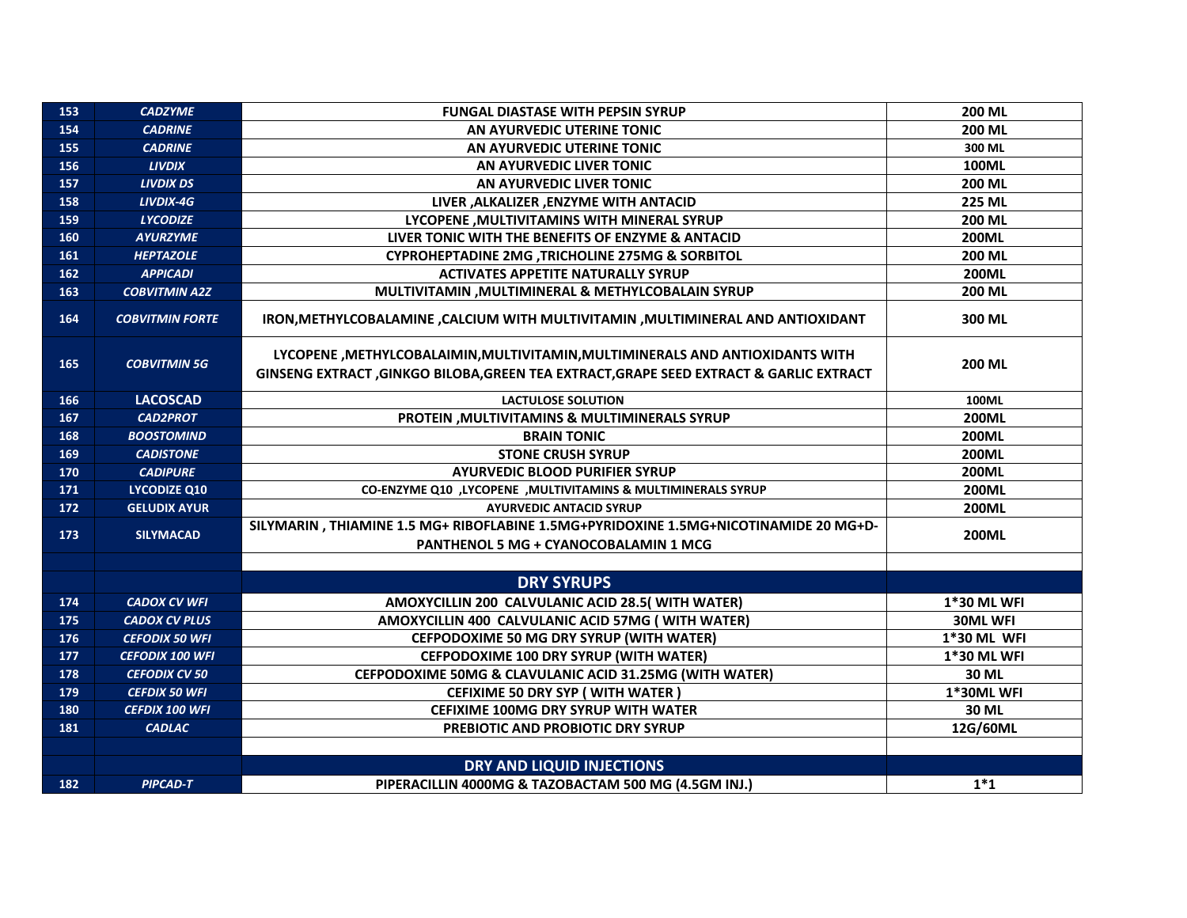| 153 | <b>CADZYME</b>         | <b>FUNGAL DIASTASE WITH PEPSIN SYRUP</b>                                                                                                                                  | <b>200 ML</b>      |
|-----|------------------------|---------------------------------------------------------------------------------------------------------------------------------------------------------------------------|--------------------|
| 154 | <b>CADRINE</b>         | AN AYURVEDIC UTERINE TONIC                                                                                                                                                | <b>200 ML</b>      |
| 155 | <b>CADRINE</b>         | AN AYURVEDIC UTERINE TONIC                                                                                                                                                | 300 ML             |
| 156 | <b>LIVDIX</b>          | AN AYURVEDIC LIVER TONIC                                                                                                                                                  | <b>100ML</b>       |
| 157 | <b>LIVDIX DS</b>       | AN AYURVEDIC LIVER TONIC                                                                                                                                                  | 200 ML             |
| 158 | LIVDIX-4G              | LIVER , ALKALIZER , ENZYME WITH ANTACID                                                                                                                                   | <b>225 ML</b>      |
| 159 | <b>LYCODIZE</b>        | LYCOPENE , MULTIVITAMINS WITH MINERAL SYRUP                                                                                                                               | <b>200 ML</b>      |
| 160 | <b>AYURZYME</b>        | LIVER TONIC WITH THE BENEFITS OF ENZYME & ANTACID                                                                                                                         | 200ML              |
| 161 | <b>HEPTAZOLE</b>       | CYPROHEPTADINE 2MG, TRICHOLINE 275MG & SORBITOL                                                                                                                           | <b>200 ML</b>      |
| 162 | <b>APPICADI</b>        | <b>ACTIVATES APPETITE NATURALLY SYRUP</b>                                                                                                                                 | <b>200ML</b>       |
| 163 | <b>COBVITMIN A2Z</b>   | MULTIVITAMIN, MULTIMINERAL & METHYLCOBALAIN SYRUP                                                                                                                         | <b>200 ML</b>      |
| 164 | <b>COBVITMIN FORTE</b> | IRON, METHYLCOBALAMINE, CALCIUM WITH MULTIVITAMIN, MULTIMINERAL AND ANTIOXIDANT                                                                                           | 300 ML             |
| 165 | <b>COBVITMIN 5G</b>    | LYCOPENE , METHYLCOBALAIMIN, MULTIVITAMIN, MULTIMINERALS AND ANTIOXIDANTS WITH<br>GINSENG EXTRACT , GINKGO BILOBA, GREEN TEA EXTRACT, GRAPE SEED EXTRACT & GARLIC EXTRACT | <b>200 ML</b>      |
| 166 | <b>LACOSCAD</b>        | <b>LACTULOSE SOLUTION</b>                                                                                                                                                 | 100ML              |
| 167 | <b>CAD2PROT</b>        | PROTEIN , MULTIVITAMINS & MULTIMINERALS SYRUP                                                                                                                             | <b>200ML</b>       |
| 168 | <b>BOOSTOMIND</b>      | <b>BRAIN TONIC</b>                                                                                                                                                        | <b>200ML</b>       |
| 169 | <b>CADISTONE</b>       | <b>STONE CRUSH SYRUP</b>                                                                                                                                                  | <b>200ML</b>       |
| 170 | <b>CADIPURE</b>        | <b>AYURVEDIC BLOOD PURIFIER SYRUP</b>                                                                                                                                     | <b>200ML</b>       |
| 171 | <b>LYCODIZE Q10</b>    | CO-ENZYME Q10 ,LYCOPENE ,MULTIVITAMINS & MULTIMINERALS SYRUP                                                                                                              | 200ML              |
| 172 | <b>GELUDIX AYUR</b>    | <b>AYURVEDIC ANTACID SYRUP</b>                                                                                                                                            | <b>200ML</b>       |
| 173 | <b>SILYMACAD</b>       | SILYMARIN, THIAMINE 1.5 MG+ RIBOFLABINE 1.5MG+PYRIDOXINE 1.5MG+NICOTINAMIDE 20 MG+D-<br>PANTHENOL 5 MG + CYANOCOBALAMIN 1 MCG                                             | 200ML              |
|     |                        |                                                                                                                                                                           |                    |
|     |                        | <b>DRY SYRUPS</b>                                                                                                                                                         |                    |
| 174 | <b>CADOX CV WFI</b>    | AMOXYCILLIN 200 CALVULANIC ACID 28.5( WITH WATER)                                                                                                                         | <b>1*30 ML WFI</b> |
| 175 | <b>CADOX CV PLUS</b>   | AMOXYCILLIN 400 CALVULANIC ACID 57MG (WITH WATER)                                                                                                                         | <b>30ML WFI</b>    |
| 176 | <b>CEFODIX 50 WFI</b>  | <b>CEFPODOXIME 50 MG DRY SYRUP (WITH WATER)</b>                                                                                                                           | 1*30 ML WFI        |
| 177 | <b>CEFODIX 100 WFI</b> | <b>CEFPODOXIME 100 DRY SYRUP (WITH WATER)</b>                                                                                                                             | 1*30 ML WFI        |
| 178 | <b>CEFODIX CV 50</b>   | CEFPODOXIME 50MG & CLAVULANIC ACID 31.25MG (WITH WATER)                                                                                                                   | 30 ML              |
| 179 | <b>CEFDIX 50 WFI</b>   | <b>CEFIXIME 50 DRY SYP (WITH WATER)</b>                                                                                                                                   | 1*30ML WFI         |
| 180 | <b>CEFDIX 100 WFI</b>  | <b>CEFIXIME 100MG DRY SYRUP WITH WATER</b>                                                                                                                                | 30 ML              |
| 181 | <b>CADLAC</b>          | PREBIOTIC AND PROBIOTIC DRY SYRUP                                                                                                                                         | 12G/60ML           |
|     |                        |                                                                                                                                                                           |                    |
|     |                        | <b>DRY AND LIQUID INJECTIONS</b>                                                                                                                                          |                    |
| 182 | PIPCAD-T               | PIPERACILLIN 4000MG & TAZOBACTAM 500 MG (4.5GM INJ.)                                                                                                                      | $1*1$              |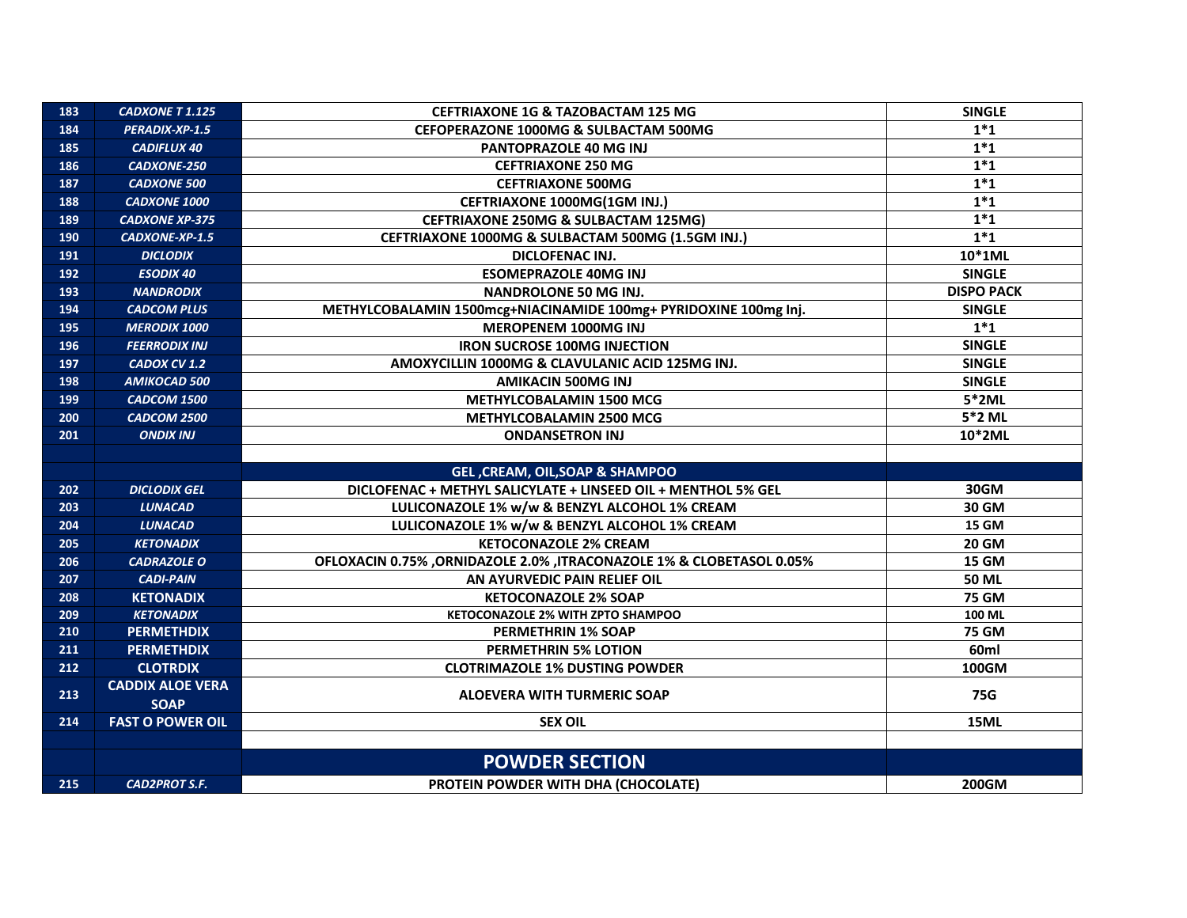| 183 | <b>CADXONE T 1.125</b>  | <b>CEFTRIAXONE 1G &amp; TAZOBACTAM 125 MG</b>                        | <b>SINGLE</b>     |
|-----|-------------------------|----------------------------------------------------------------------|-------------------|
| 184 | PERADIX-XP-1.5          | <b>CEFOPERAZONE 1000MG &amp; SULBACTAM 500MG</b>                     | $1*1$             |
| 185 | <b>CADIFLUX 40</b>      | PANTOPRAZOLE 40 MG INJ                                               | $1*1$             |
| 186 | <b>CADXONE-250</b>      | <b>CEFTRIAXONE 250 MG</b>                                            | $1*1$             |
| 187 | <b>CADXONE 500</b>      | <b>CEFTRIAXONE 500MG</b>                                             | $1*1$             |
| 188 | <b>CADXONE 1000</b>     | CEFTRIAXONE 1000MG(1GM INJ.)                                         | $1*1$             |
| 189 | <b>CADXONE XP-375</b>   | <b>CEFTRIAXONE 250MG &amp; SULBACTAM 125MG)</b>                      | $1*1$             |
| 190 | CADXONE-XP-1.5          | CEFTRIAXONE 1000MG & SULBACTAM 500MG (1.5GM INJ.)                    | $1*1$             |
| 191 | <b>DICLODIX</b>         | DICLOFENAC INJ.                                                      | 10*1ML            |
| 192 | <b>ESODIX 40</b>        | <b>ESOMEPRAZOLE 40MG INJ</b>                                         | <b>SINGLE</b>     |
| 193 | <b>NANDRODIX</b>        | <b>NANDROLONE 50 MG INJ.</b>                                         | <b>DISPO PACK</b> |
| 194 | <b>CADCOM PLUS</b>      | METHYLCOBALAMIN 1500mcg+NIACINAMIDE 100mg+ PYRIDOXINE 100mg Inj.     | <b>SINGLE</b>     |
| 195 | <b>MERODIX 1000</b>     | MEROPENEM 1000MG INJ                                                 | $1*1$             |
| 196 | <b>FEERRODIX INJ</b>    | <b>IRON SUCROSE 100MG INJECTION</b>                                  | <b>SINGLE</b>     |
| 197 | CADOX CV 1.2            | AMOXYCILLIN 1000MG & CLAVULANIC ACID 125MG INJ.                      | <b>SINGLE</b>     |
| 198 | AMIKOCAD 500            | <b>AMIKACIN 500MG INJ</b>                                            | <b>SINGLE</b>     |
| 199 | CADCOM 1500             | <b>METHYLCOBALAMIN 1500 MCG</b>                                      | $5*2ML$           |
| 200 | CADCOM 2500             | METHYLCOBALAMIN 2500 MCG                                             | 5*2 ML            |
| 201 | <b>ONDIX INJ</b>        | <b>ONDANSETRON INJ</b>                                               | 10*2ML            |
|     |                         |                                                                      |                   |
|     |                         | GEL, CREAM, OIL, SOAP & SHAMPOO                                      |                   |
| 202 | <b>DICLODIX GEL</b>     | DICLOFENAC + METHYL SALICYLATE + LINSEED OIL + MENTHOL 5% GEL        | 30GM              |
| 203 | <b>LUNACAD</b>          | LULICONAZOLE 1% w/w & BENZYL ALCOHOL 1% CREAM                        | 30 GM             |
| 204 | <b>LUNACAD</b>          | LULICONAZOLE 1% w/w & BENZYL ALCOHOL 1% CREAM                        | <b>15 GM</b>      |
| 205 | <b>KETONADIX</b>        | <b>KETOCONAZOLE 2% CREAM</b>                                         | <b>20 GM</b>      |
| 206 | <b>CADRAZOLE O</b>      | OFLOXACIN 0.75% ,ORNIDAZOLE 2.0% ,ITRACONAZOLE 1% & CLOBETASOL 0.05% | <b>15 GM</b>      |
| 207 | <b>CADI-PAIN</b>        | AN AYURVEDIC PAIN RELIEF OIL                                         | <b>50 ML</b>      |
| 208 | <b>KETONADIX</b>        | <b>KETOCONAZOLE 2% SOAP</b>                                          | <b>75 GM</b>      |
| 209 | <b>KETONADIX</b>        | KETOCONAZOLE 2% WITH ZPTO SHAMPOO                                    | 100 ML            |
| 210 | <b>PERMETHDIX</b>       | <b>PERMETHRIN 1% SOAP</b>                                            | <b>75 GM</b>      |
| 211 | <b>PERMETHDIX</b>       | <b>PERMETHRIN 5% LOTION</b>                                          | 60 <sub>ml</sub>  |
| 212 | <b>CLOTRDIX</b>         | <b>CLOTRIMAZOLE 1% DUSTING POWDER</b>                                | 100GM             |
| 213 | <b>CADDIX ALOE VERA</b> | <b>ALOEVERA WITH TURMERIC SOAP</b>                                   | 75G               |
|     | <b>SOAP</b>             |                                                                      |                   |
| 214 | <b>FAST O POWER OIL</b> | <b>SEX OIL</b>                                                       | 15ML              |
|     |                         |                                                                      |                   |
|     |                         | <b>POWDER SECTION</b>                                                |                   |
| 215 | <b>CAD2PROT S.F.</b>    | PROTEIN POWDER WITH DHA (CHOCOLATE)                                  | <b>200GM</b>      |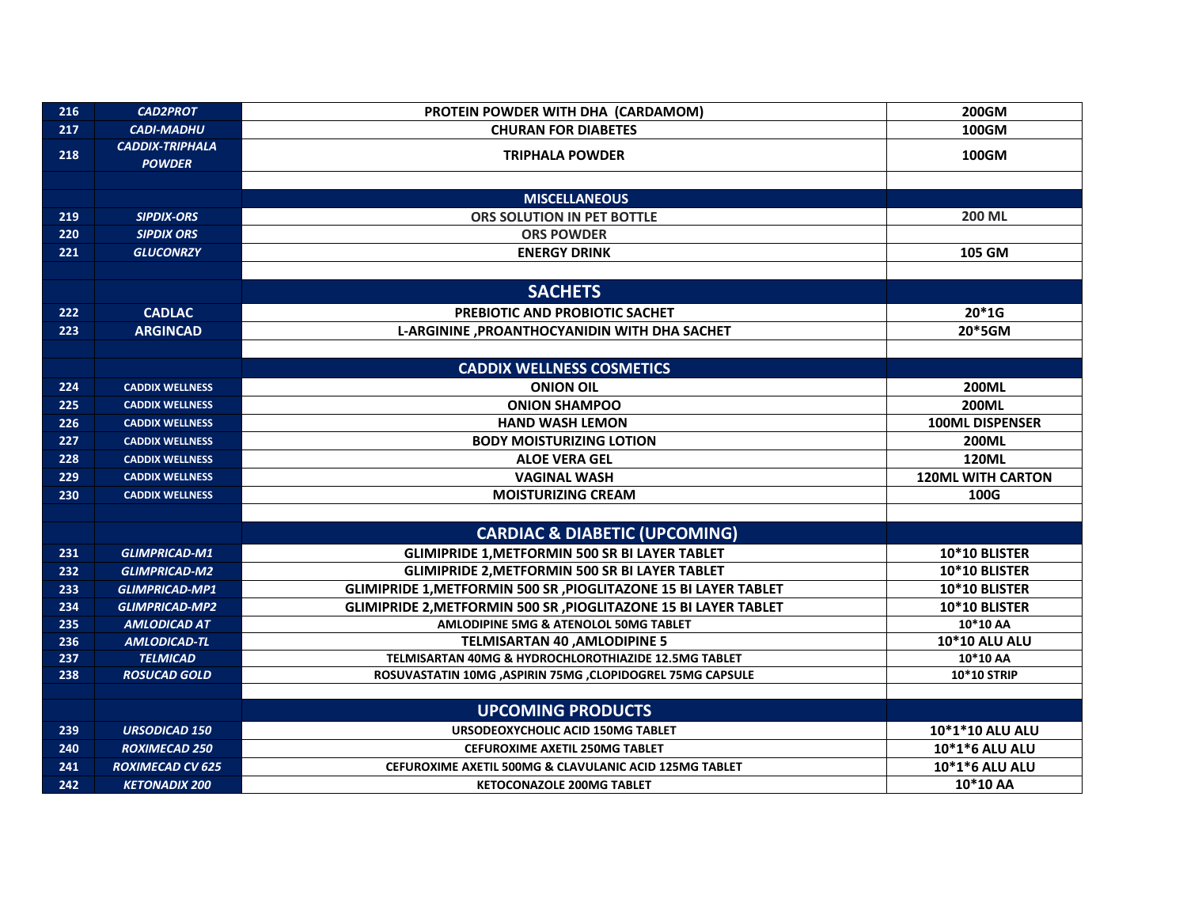| 216 | <b>CAD2PROT</b>                         | PROTEIN POWDER WITH DHA (CARDAMOM)                              | <b>200GM</b>             |
|-----|-----------------------------------------|-----------------------------------------------------------------|--------------------------|
| 217 | <b>CADI-MADHU</b>                       | <b>CHURAN FOR DIABETES</b>                                      | 100GM                    |
| 218 | <b>CADDIX-TRIPHALA</b><br><b>POWDER</b> | <b>TRIPHALA POWDER</b>                                          | <b>100GM</b>             |
|     |                                         |                                                                 |                          |
|     |                                         | <b>MISCELLANEOUS</b>                                            |                          |
| 219 | <b>SIPDIX-ORS</b>                       | ORS SOLUTION IN PET BOTTLE                                      | <b>200 ML</b>            |
| 220 | <b>SIPDIX ORS</b>                       | <b>ORS POWDER</b>                                               |                          |
| 221 | <b>GLUCONRZY</b>                        | <b>ENERGY DRINK</b>                                             | 105 GM                   |
|     |                                         |                                                                 |                          |
|     |                                         | <b>SACHETS</b>                                                  |                          |
| 222 | <b>CADLAC</b>                           | PREBIOTIC AND PROBIOTIC SACHET                                  | $20*1G$                  |
| 223 | <b>ARGINCAD</b>                         | L-ARGININE , PROANTHOCYANIDIN WITH DHA SACHET                   | 20*5GM                   |
|     |                                         |                                                                 |                          |
|     |                                         | <b>CADDIX WELLNESS COSMETICS</b>                                |                          |
| 224 | <b>CADDIX WELLNESS</b>                  | <b>ONION OIL</b>                                                | <b>200ML</b>             |
| 225 | <b>CADDIX WELLNESS</b>                  | <b>ONION SHAMPOO</b>                                            | <b>200ML</b>             |
| 226 | <b>CADDIX WELLNESS</b>                  | <b>HAND WASH LEMON</b>                                          | <b>100ML DISPENSER</b>   |
| 227 | <b>CADDIX WELLNESS</b>                  | <b>BODY MOISTURIZING LOTION</b>                                 | <b>200ML</b>             |
| 228 | <b>CADDIX WELLNESS</b>                  | <b>ALOE VERA GEL</b>                                            | <b>120ML</b>             |
| 229 | <b>CADDIX WELLNESS</b>                  | <b>VAGINAL WASH</b>                                             | <b>120ML WITH CARTON</b> |
| 230 | <b>CADDIX WELLNESS</b>                  | <b>MOISTURIZING CREAM</b>                                       | 100G                     |
|     |                                         |                                                                 |                          |
|     |                                         | <b>CARDIAC &amp; DIABETIC (UPCOMING)</b>                        |                          |
| 231 | <b>GLIMPRICAD-M1</b>                    | <b>GLIMIPRIDE 1, METFORMIN 500 SR BI LAYER TABLET</b>           | 10*10 BLISTER            |
| 232 | <b>GLIMPRICAD-M2</b>                    | <b>GLIMIPRIDE 2, METFORMIN 500 SR BI LAYER TABLET</b>           | 10*10 BLISTER            |
| 233 | <b>GLIMPRICAD-MP1</b>                   | GLIMIPRIDE 1, METFORMIN 500 SR, PIOGLITAZONE 15 BI LAYER TABLET | 10*10 BLISTER            |
| 234 | <b>GLIMPRICAD-MP2</b>                   | GLIMIPRIDE 2, METFORMIN 500 SR, PIOGLITAZONE 15 BI LAYER TABLET | 10*10 BLISTER            |
| 235 | <b>AMLODICAD AT</b>                     | AMLODIPINE 5MG & ATENOLOL 50MG TABLET                           | 10*10 AA                 |
| 236 | <b>AMLODICAD-TL</b>                     | <b>TELMISARTAN 40, AMLODIPINE 5</b>                             | 10*10 ALU ALU            |
| 237 | <b>TELMICAD</b>                         | TELMISARTAN 40MG & HYDROCHLOROTHIAZIDE 12.5MG TABLET            | 10*10 AA                 |
| 238 | <b>ROSUCAD GOLD</b>                     | ROSUVASTATIN 10MG , ASPIRIN 75MG , CLOPIDOGREL 75MG CAPSULE     | <b>10*10 STRIP</b>       |
|     |                                         |                                                                 |                          |
|     |                                         | <b>UPCOMING PRODUCTS</b>                                        |                          |
| 239 | <b>URSODICAD 150</b>                    | URSODEOXYCHOLIC ACID 150MG TABLET                               | 10*1*10 ALU ALU          |
| 240 | <b>ROXIMECAD 250</b>                    | <b>CEFUROXIME AXETIL 250MG TABLET</b>                           | 10*1*6 ALU ALU           |
| 241 | <b>ROXIMECAD CV 625</b>                 | CEFUROXIME AXETIL 500MG & CLAVULANIC ACID 125MG TABLET          | 10*1*6 ALU ALU           |
| 242 | <b>KETONADIX 200</b>                    | <b>KETOCONAZOLE 200MG TABLET</b>                                | 10*10 AA                 |